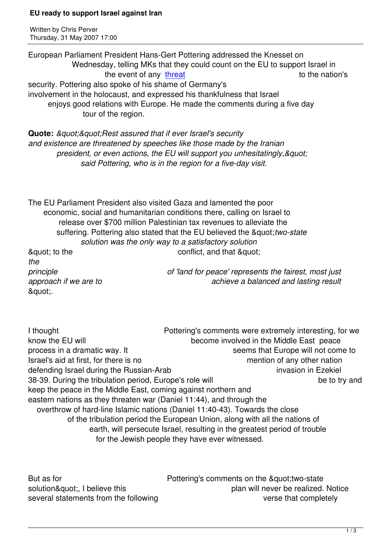Thursday, 31 May 2007 17:00

Written by Christian by Christian by Christian by Christian by Christian by Christian by Christian by Christian

".

European Parliament President Hans-Gert Pottering addressed the Knesset on Wednesday, telling MKs that they could count on the EU to support Israel in the event of any threat the nation's security. Pottering also spoke of his shame of Germany's involvement in the holocaust, and expressed his thankfulness that Israel enjoys good relations with Europ[e. He m](http://www.jpost.com/servlet/Satellite?cid=1180527967651&pagename=JPost%2FJPArticle%2FShowFull)ade the comments during a five day tour of the region.

**Quote:** & *quot*; & *quot*; Rest assured that if ever Israel's security *and existence are threatened by speeches like those made by the Iranian*  president, or even actions, the EU will support you unhesitatingly, & quot;  *said Pottering, who is in the region for a five-day visit.*

The EU Parliament President also visited Gaza and lamented the poor economic, social and humanitarian conditions there, calling on Israel to release over \$700 million Palestinian tax revenues to alleviate the suffering. Pottering also stated that the EU believed the &quot: two-state  *solution was the only way to a satisfactory solution*  $\alpha$  and that  $\alpha$  conflict, and that  $\alpha$  and the conflict, and that  $\alpha$  and the conflict, and that  $\alpha$ *the principle of 'land for peace' represents the fairest, most just approach if we are to* and *achieve a balanced and lasting result* 

I thought Pottering's comments were extremely interesting, for we know the EU will **become involved in the Middle East peace** process in a dramatic way. It seems that Europe will not come to Israel's aid at first, for there is no mention of any other nation defending Israel during the Russian-Arab invasion in Ezekiel 38-39. During the tribulation period, Europe's role will serve that the to try and keep the peace in the Middle East, coming against northern and eastern nations as they threaten war (Daniel 11:44), and through the overthrow of hard-line Islamic nations (Daniel 11:40-43). Towards the close of the tribulation period the European Union, along with all the nations of earth, will persecute Israel, resulting in the greatest period of trouble for the Jewish people they have ever witnessed.

But as for **Pottering's comments on the &quot:two-state** solution&quot:, I believe this plan will never be realized. Notice several statements from the following verse that completely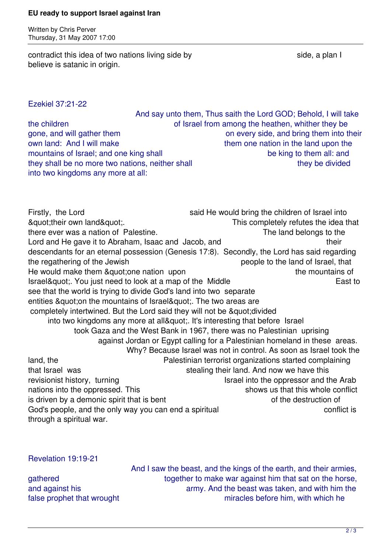## **EU ready to support Israel against Iran**

Written by Chris Perver Thursday, 31 May 2007 17:00

contradict this idea of two nations living side by side a plan I believe is satanic in origin.

Ezekiel 37:21-22

 And say unto them, Thus saith the Lord GOD; Behold, I will take the children of Israel from among the heathen, whither they be gone, and will gather them on every side, and bring them into their own land: And I will make them one nation in the land upon the mountains of Israel; and one king shall be king to them all: and they shall be no more two nations, neither shall they be divided they be divided into two kingdoms any more at all:

Firstly, the Lord said He would bring the children of Israel into & auptitude of the idea that the idea that the idea that the idea that  $\alpha$ there ever was a nation of Palestine. Lord and He gave it to Abraham, Isaac and Jacob, and the same their descendants for an eternal possession (Genesis 17:8). Secondly, the Lord has said regarding the regathering of the Jewish people to the land of Israel, that He would make them & quot: one nation upon the mountains of Israel" You just need to look at a map of the Middle East to East to see that the world is trying to divide God's land into two separate entities & quot; on the mountains of Israel & quot;. The two areas are completely intertwined. But the Lord said they will not be " divided into two kingdoms any more at all&quot:. It's interesting that before Israel took Gaza and the West Bank in 1967, there was no Palestinian uprising against Jordan or Egypt calling for a Palestinian homeland in these areas. Why? Because Israel was not in control. As soon as Israel took the land, the Palestinian terrorist organizations started complaining that Israel was stealing their land. And now we have this revisionist history, turning Israel into the oppressor and the Arab nations into the oppressed. This shows us that this whole conflict is driven by a demonic spirit that is bent of the destruction of God's people, and the only way you can end a spiritual conflict is conflict is through a spiritual war.

## Revelation 19:19-21

 And I saw the beast, and the kings of the earth, and their armies, gathered together to make war against him that sat on the horse, and against his and against him the army. And the beast was taken, and with him the false prophet that wrought miracles before him, with which he